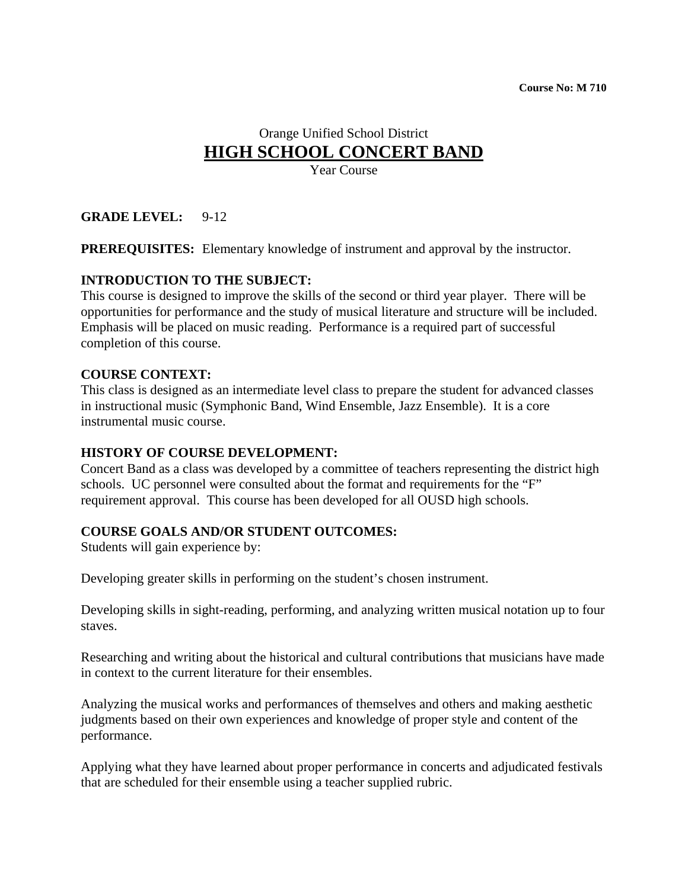# Orange Unified School District **HIGH SCHOOL CONCERT BAND**

Year Course

#### **GRADE LEVEL:** 9-12

**PREREQUISITES:** Elementary knowledge of instrument and approval by the instructor.

#### **INTRODUCTION TO THE SUBJECT:**

This course is designed to improve the skills of the second or third year player. There will be opportunities for performance and the study of musical literature and structure will be included. Emphasis will be placed on music reading. Performance is a required part of successful completion of this course.

#### **COURSE CONTEXT:**

This class is designed as an intermediate level class to prepare the student for advanced classes in instructional music (Symphonic Band, Wind Ensemble, Jazz Ensemble). It is a core instrumental music course.

#### **HISTORY OF COURSE DEVELOPMENT:**

Concert Band as a class was developed by a committee of teachers representing the district high schools. UC personnel were consulted about the format and requirements for the "F" requirement approval. This course has been developed for all OUSD high schools.

#### **COURSE GOALS AND/OR STUDENT OUTCOMES:**

Students will gain experience by:

Developing greater skills in performing on the student's chosen instrument.

Developing skills in sight-reading, performing, and analyzing written musical notation up to four staves.

Researching and writing about the historical and cultural contributions that musicians have made in context to the current literature for their ensembles.

Analyzing the musical works and performances of themselves and others and making aesthetic judgments based on their own experiences and knowledge of proper style and content of the performance.

Applying what they have learned about proper performance in concerts and adjudicated festivals that are scheduled for their ensemble using a teacher supplied rubric.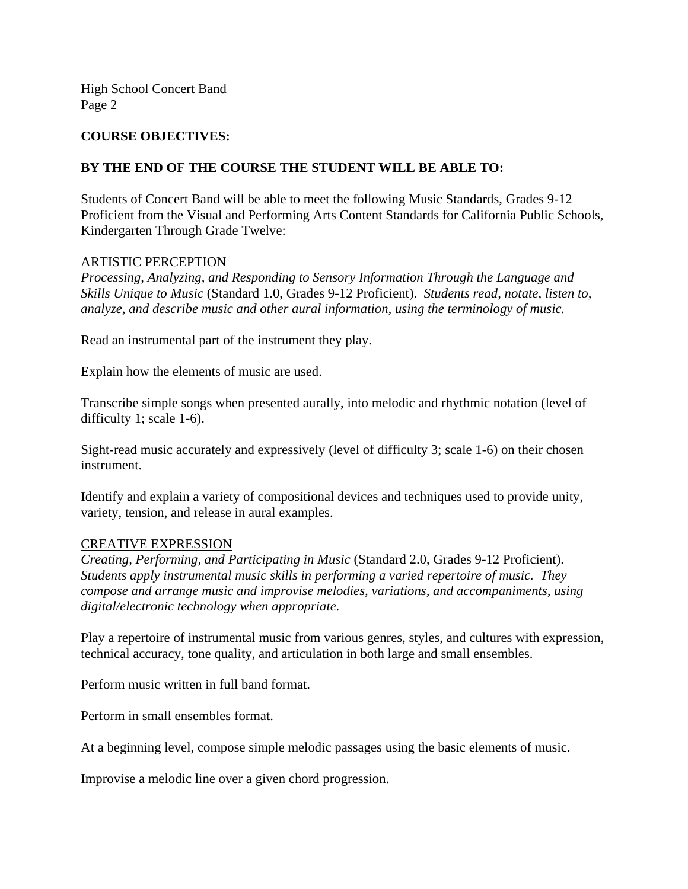#### **COURSE OBJECTIVES:**

#### **BY THE END OF THE COURSE THE STUDENT WILL BE ABLE TO:**

Students of Concert Band will be able to meet the following Music Standards, Grades 9-12 Proficient from the Visual and Performing Arts Content Standards for California Public Schools, Kindergarten Through Grade Twelve:

#### ARTISTIC PERCEPTION

*Processing, Analyzing, and Responding to Sensory Information Through the Language and Skills Unique to Music* (Standard 1.0, Grades 9-12 Proficient). *Students read, notate, listen to, analyze, and describe music and other aural information, using the terminology of music.* 

Read an instrumental part of the instrument they play.

Explain how the elements of music are used.

Transcribe simple songs when presented aurally, into melodic and rhythmic notation (level of difficulty 1; scale 1-6).

Sight-read music accurately and expressively (level of difficulty 3; scale 1-6) on their chosen instrument.

Identify and explain a variety of compositional devices and techniques used to provide unity, variety, tension, and release in aural examples.

#### CREATIVE EXPRESSION

*Creating, Performing, and Participating in Music* (Standard 2.0, Grades 9-12 Proficient). *Students apply instrumental music skills in performing a varied repertoire of music. They compose and arrange music and improvise melodies, variations, and accompaniments, using digital/electronic technology when appropriate.*

Play a repertoire of instrumental music from various genres, styles, and cultures with expression, technical accuracy, tone quality, and articulation in both large and small ensembles.

Perform music written in full band format.

Perform in small ensembles format.

At a beginning level, compose simple melodic passages using the basic elements of music.

Improvise a melodic line over a given chord progression.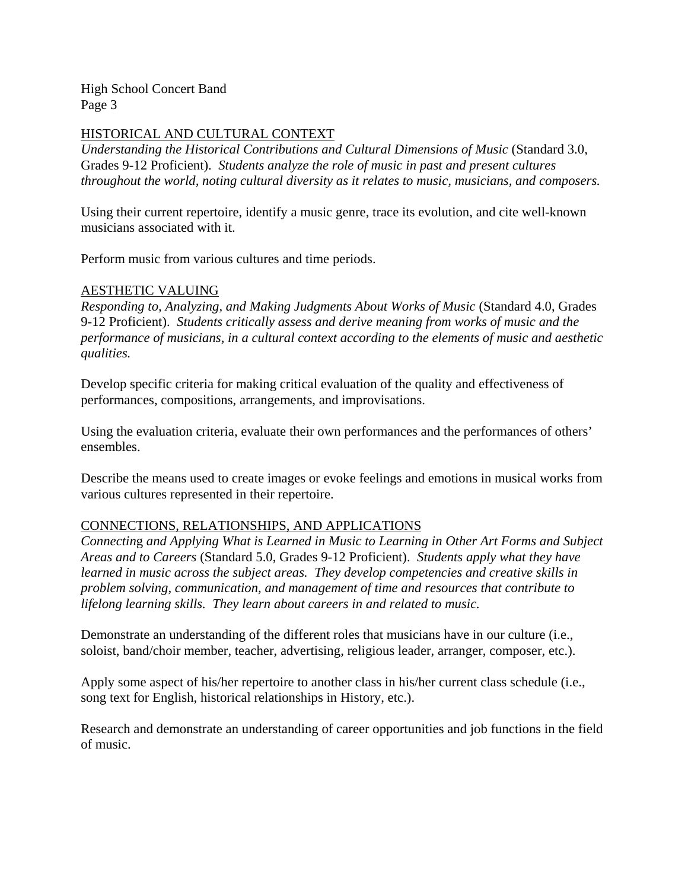#### HISTORICAL AND CULTURAL CONTEXT

*Understanding the Historical Contributions and Cultural Dimensions of Music* (Standard 3.0, Grades 9-12 Proficient). *Students analyze the role of music in past and present cultures throughout the world, noting cultural diversity as it relates to music, musicians, and composers.* 

Using their current repertoire, identify a music genre, trace its evolution, and cite well-known musicians associated with it.

Perform music from various cultures and time periods.

#### AESTHETIC VALUING

*Responding to, Analyzing, and Making Judgments About Works of Music* (Standard 4.0, Grades 9-12 Proficient). *Students critically assess and derive meaning from works of music and the performance of musicians, in a cultural context according to the elements of music and aesthetic qualities.* 

Develop specific criteria for making critical evaluation of the quality and effectiveness of performances, compositions, arrangements, and improvisations.

Using the evaluation criteria, evaluate their own performances and the performances of others' ensembles.

Describe the means used to create images or evoke feelings and emotions in musical works from various cultures represented in their repertoire.

#### CONNECTIONS, RELATIONSHIPS, AND APPLICATIONS

*Connectin*g *and Applying What is Learned in Music to Learning in Other Art Forms and Subject Areas and to Careers* (Standard 5.0, Grades 9-12 Proficient). *Students apply what they have learned in music across the subject areas. They develop competencies and creative skills in problem solving, communication, and management of time and resources that contribute to lifelong learning skills. They learn about careers in and related to music.* 

Demonstrate an understanding of the different roles that musicians have in our culture (i.e., soloist, band/choir member, teacher, advertising, religious leader, arranger, composer, etc.).

Apply some aspect of his/her repertoire to another class in his/her current class schedule (i.e., song text for English, historical relationships in History, etc.).

Research and demonstrate an understanding of career opportunities and job functions in the field of music.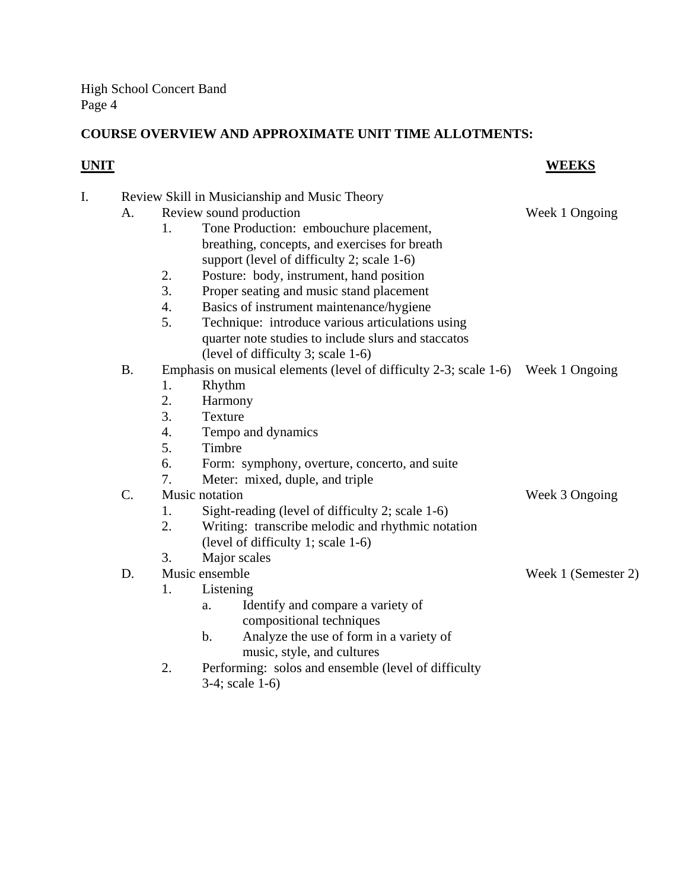# **COURSE OVERVIEW AND APPROXIMATE UNIT TIME ALLOTMENTS:**

# **UNIT WEEKS**

| I. | Review Skill in Musicianship and Music Theory |                                       |                                                                                  |                |  |  |
|----|-----------------------------------------------|---------------------------------------|----------------------------------------------------------------------------------|----------------|--|--|
|    | A.                                            |                                       | Review sound production                                                          | Week 1 Ongoing |  |  |
|    |                                               | 1.                                    | Tone Production: embouchure placement,                                           |                |  |  |
|    |                                               |                                       | breathing, concepts, and exercises for breath                                    |                |  |  |
|    |                                               |                                       | support (level of difficulty 2; scale 1-6)                                       |                |  |  |
|    |                                               | 2.                                    | Posture: body, instrument, hand position                                         |                |  |  |
|    |                                               | 3.                                    | Proper seating and music stand placement                                         |                |  |  |
|    |                                               | 4.                                    | Basics of instrument maintenance/hygiene                                         |                |  |  |
|    |                                               | 5.                                    | Technique: introduce various articulations using                                 |                |  |  |
|    |                                               |                                       | quarter note studies to include slurs and staccatos                              |                |  |  |
|    |                                               |                                       | (level of difficulty 3; scale 1-6)                                               |                |  |  |
|    | <b>B.</b>                                     |                                       | Emphasis on musical elements (level of difficulty 2-3; scale 1-6) Week 1 Ongoing |                |  |  |
|    |                                               | 1.                                    | Rhythm                                                                           |                |  |  |
|    |                                               | 2.                                    | Harmony                                                                          |                |  |  |
|    |                                               | 3.                                    | Texture                                                                          |                |  |  |
|    |                                               | 4.                                    | Tempo and dynamics                                                               |                |  |  |
|    |                                               | 5.                                    | Timbre                                                                           |                |  |  |
|    |                                               | 6.                                    | Form: symphony, overture, concerto, and suite                                    |                |  |  |
|    |                                               | 7.                                    | Meter: mixed, duple, and triple                                                  |                |  |  |
|    | $\mathcal{C}$ .                               |                                       | Music notation                                                                   | Week 3 Ongoing |  |  |
|    |                                               | 1.                                    | Sight-reading (level of difficulty 2; scale 1-6)                                 |                |  |  |
|    |                                               | 2.                                    | Writing: transcribe melodic and rhythmic notation                                |                |  |  |
|    |                                               |                                       | (level of difficulty 1; scale 1-6)                                               |                |  |  |
|    |                                               | 3.                                    | Major scales                                                                     |                |  |  |
|    | D.                                            | Music ensemble<br>Week 1 (Semester 2) |                                                                                  |                |  |  |
|    |                                               | 1.                                    | Listening                                                                        |                |  |  |
|    |                                               |                                       | Identify and compare a variety of<br>a.                                          |                |  |  |
|    |                                               |                                       | compositional techniques                                                         |                |  |  |
|    |                                               |                                       | Analyze the use of form in a variety of<br>$\mathbf b$ .                         |                |  |  |
|    |                                               |                                       | music, style, and cultures                                                       |                |  |  |
|    |                                               | 2.                                    | Performing: solos and ensemble (level of difficulty                              |                |  |  |
|    |                                               |                                       | 3-4; scale 1-6)                                                                  |                |  |  |
|    |                                               |                                       |                                                                                  |                |  |  |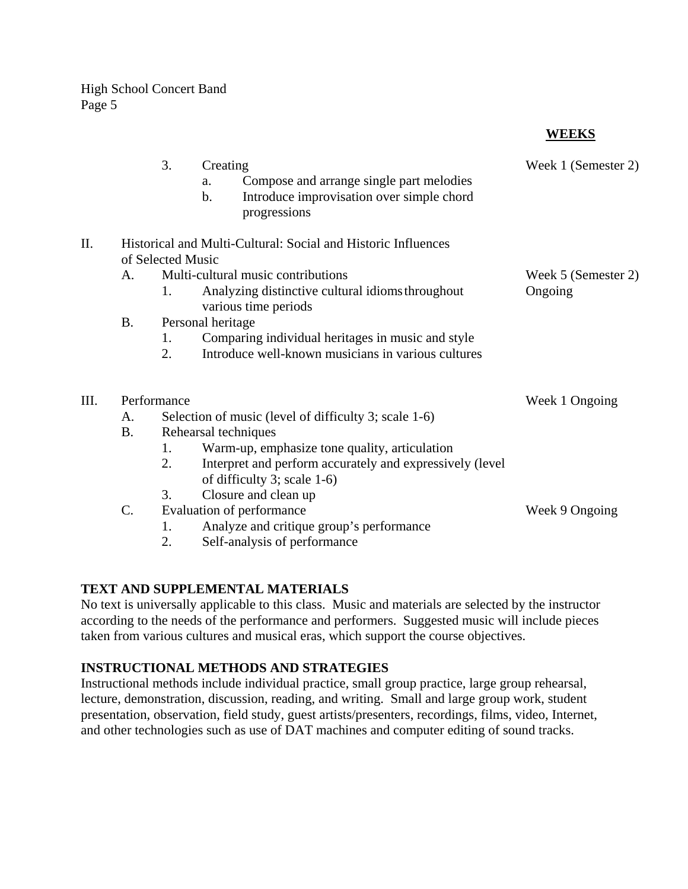# **WEEKS**

|      |                                                               | 3.                | Creating<br>Compose and arrange single part melodies<br>a.<br>$b$ .<br>Introduce improvisation over simple chord<br>progressions | Week 1 (Semester 2) |  |  |  |
|------|---------------------------------------------------------------|-------------------|----------------------------------------------------------------------------------------------------------------------------------|---------------------|--|--|--|
| Η.   | Historical and Multi-Cultural: Social and Historic Influences |                   |                                                                                                                                  |                     |  |  |  |
|      |                                                               | of Selected Music |                                                                                                                                  |                     |  |  |  |
|      | A.                                                            |                   | Multi-cultural music contributions                                                                                               | Week 5 (Semester 2) |  |  |  |
|      |                                                               | 1.                | Analyzing distinctive cultural idioms throughout<br>various time periods                                                         | Ongoing             |  |  |  |
|      | <b>B.</b>                                                     |                   | Personal heritage                                                                                                                |                     |  |  |  |
|      |                                                               | 1.                | Comparing individual heritages in music and style                                                                                |                     |  |  |  |
|      |                                                               | 2.                | Introduce well-known musicians in various cultures                                                                               |                     |  |  |  |
| III. | Performance                                                   |                   | Week 1 Ongoing                                                                                                                   |                     |  |  |  |
|      | A.                                                            |                   | Selection of music (level of difficulty 3; scale 1-6)                                                                            |                     |  |  |  |
|      | <b>B.</b>                                                     |                   | Rehearsal techniques                                                                                                             |                     |  |  |  |
|      |                                                               | 1.                | Warm-up, emphasize tone quality, articulation                                                                                    |                     |  |  |  |
|      |                                                               | 2.                | Interpret and perform accurately and expressively (level<br>of difficulty 3; scale 1-6)                                          |                     |  |  |  |
|      |                                                               | 3.                | Closure and clean up                                                                                                             |                     |  |  |  |
|      | C.                                                            |                   | Evaluation of performance                                                                                                        | Week 9 Ongoing      |  |  |  |
|      |                                                               | 1.                | Analyze and critique group's performance                                                                                         |                     |  |  |  |
|      |                                                               | 2.                | Self-analysis of performance                                                                                                     |                     |  |  |  |
|      |                                                               |                   |                                                                                                                                  |                     |  |  |  |

### **TEXT AND SUPPLEMENTAL MATERIALS**

No text is universally applicable to this class. Music and materials are selected by the instructor according to the needs of the performance and performers. Suggested music will include pieces taken from various cultures and musical eras, which support the course objectives.

## **INSTRUCTIONAL METHODS AND STRATEGIES**

Instructional methods include individual practice, small group practice, large group rehearsal, lecture, demonstration, discussion, reading, and writing. Small and large group work, student presentation, observation, field study, guest artists/presenters, recordings, films, video, Internet, and other technologies such as use of DAT machines and computer editing of sound tracks.